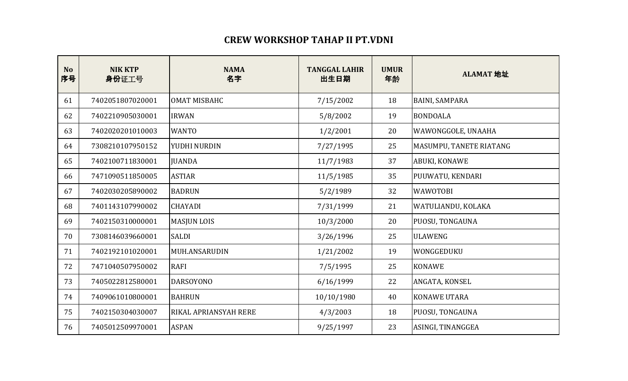## **CREW WORKSHOP TAHAP II PT.VDNI**

| <b>No</b><br>序号 | <b>NIK KTP</b><br>身份证工号 | <b>NAMA</b><br>名字            | <b>TANGGAL LAHIR</b><br>出生日期 | <b>UMUR</b><br>年龄 | ALAMAT 地址               |
|-----------------|-------------------------|------------------------------|------------------------------|-------------------|-------------------------|
| 61              | 7402051807020001        | <b>OMAT MISBAHC</b>          | 7/15/2002                    | 18                | <b>BAINI, SAMPARA</b>   |
| 62              | 7402210905030001        | <b>IRWAN</b>                 | 5/8/2002                     | 19                | <b>BONDOALA</b>         |
| 63              | 7402020201010003        | <b>WANTO</b>                 | 1/2/2001                     | 20                | WAWONGGOLE, UNAAHA      |
| 64              | 7308210107950152        | YUDHI NURDIN                 | 7/27/1995                    | 25                | MASUMPU, TANETE RIATANG |
| 65              | 7402100711830001        | <b>JUANDA</b>                | 11/7/1983                    | 37                | ABUKI, KONAWE           |
| 66              | 7471090511850005        | <b>ASTIAR</b>                | 11/5/1985                    | 35                | PUUWATU, KENDARI        |
| 67              | 7402030205890002        | <b>BADRUN</b>                | 5/2/1989                     | 32                | <b>WAWOTOBI</b>         |
| 68              | 7401143107990002        | <b>CHAYADI</b>               | 7/31/1999                    | 21                | WATULIANDU, KOLAKA      |
| 69              | 7402150310000001        | <b>MASJUN LOIS</b>           | 10/3/2000                    | 20                | PUOSU, TONGAUNA         |
| 70              | 7308146039660001        | <b>SALDI</b>                 | 3/26/1996                    | 25                | <b>ULAWENG</b>          |
| 71              | 7402192101020001        | MUH.ANSARUDIN                | 1/21/2002                    | 19                | WONGGEDUKU              |
| 72              | 7471040507950002        | <b>RAFI</b>                  | 7/5/1995                     | 25                | <b>KONAWE</b>           |
| 73              | 7405022812580001        | <b>DARSOYONO</b>             | 6/16/1999                    | 22                | ANGATA, KONSEL          |
| 74              | 7409061010800001        | <b>BAHRUN</b>                | 10/10/1980                   | 40                | <b>KONAWE UTARA</b>     |
| 75              | 7402150304030007        | <b>RIKAL APRIANSYAH RERE</b> | 4/3/2003                     | 18                | PUOSU, TONGAUNA         |
| 76              | 7405012509970001        | <b>ASPAN</b>                 | 9/25/1997                    | 23                | ASINGI, TINANGGEA       |